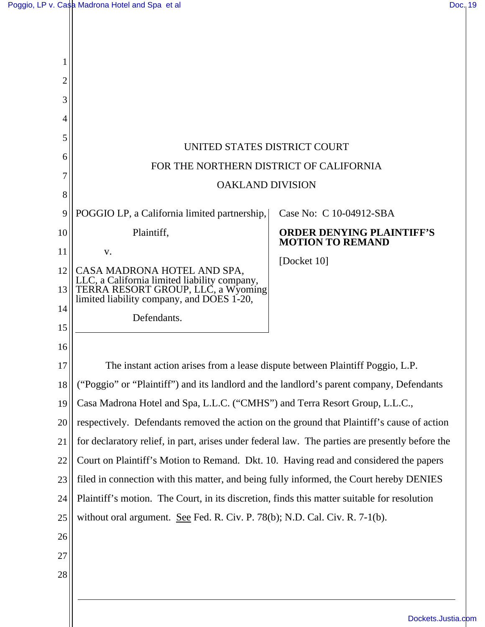$\mathbf{\mathsf{I}}$ 

| $\overline{2}$<br>3<br>4<br>5<br>UNITED STATES DISTRICT COURT<br>6<br>FOR THE NORTHERN DISTRICT OF CALIFORNIA                         |  |
|---------------------------------------------------------------------------------------------------------------------------------------|--|
|                                                                                                                                       |  |
|                                                                                                                                       |  |
|                                                                                                                                       |  |
|                                                                                                                                       |  |
|                                                                                                                                       |  |
|                                                                                                                                       |  |
| <b>OAKLAND DIVISION</b>                                                                                                               |  |
| 8                                                                                                                                     |  |
| POGGIO LP, a California limited partnership,<br>Case No: C 10-04912-SBA<br>9                                                          |  |
| Plaintiff,<br><b>ORDER DENYING PLAINTIFF'S</b><br>10<br><b>MOTION TO REMAND</b>                                                       |  |
| 11<br>V.<br>[Docket 10]                                                                                                               |  |
| 12<br>CASA MADRONA HOTEL AND SPA,                                                                                                     |  |
| LLC, a California limited liability company,<br>TERRA RESORT GROUP, LLC, a Wyoming<br>13<br>limited liability company, and DOES 1-20, |  |
| 14<br>Defendants.                                                                                                                     |  |
| 15                                                                                                                                    |  |
| 16                                                                                                                                    |  |
| The instant action arises from a lease dispute between Plaintiff Poggio, L.P.<br>17                                                   |  |
| ("Poggio" or "Plaintiff") and its landlord and the landlord's parent company, Defendants<br>18                                        |  |
| Casa Madrona Hotel and Spa, L.L.C. ("CMHS") and Terra Resort Group, L.L.C.,<br>19                                                     |  |
| respectively. Defendants removed the action on the ground that Plaintiff's cause of action<br>20                                      |  |
| for declaratory relief, in part, arises under federal law. The parties are presently before the<br>21                                 |  |
| Court on Plaintiff's Motion to Remand. Dkt. 10. Having read and considered the papers<br>22                                           |  |
| filed in connection with this matter, and being fully informed, the Court hereby DENIES<br>23                                         |  |
| Plaintiff's motion. The Court, in its discretion, finds this matter suitable for resolution<br>24                                     |  |
| without oral argument. See Fed. R. Civ. P. 78(b); N.D. Cal. Civ. R. 7-1(b).<br>25                                                     |  |
| 26                                                                                                                                    |  |
| 27                                                                                                                                    |  |
| 28                                                                                                                                    |  |
|                                                                                                                                       |  |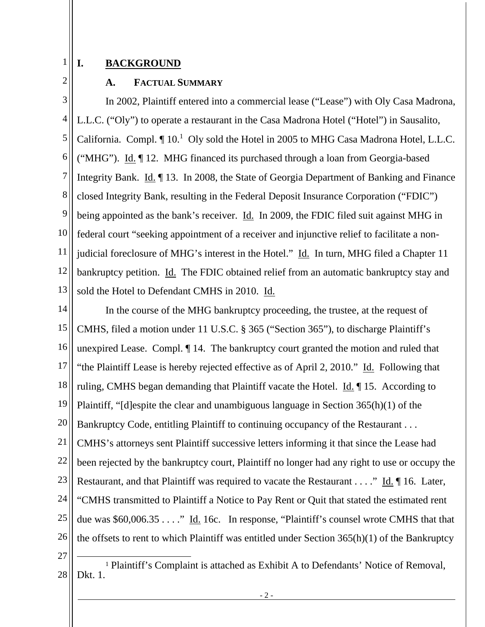## **I. BACKGROUND**

2

1

## **A. FACTUAL SUMMARY**

3 4 5 6 7 8 9 10 11 12 13 In 2002, Plaintiff entered into a commercial lease ("Lease") with Oly Casa Madrona, L.L.C. ("Oly") to operate a restaurant in the Casa Madrona Hotel ("Hotel") in Sausalito, California. Compl.  $\P$  10.<sup>1</sup> Oly sold the Hotel in 2005 to MHG Casa Madrona Hotel, L.L.C. ("MHG"). Id. ¶ 12. MHG financed its purchased through a loan from Georgia-based Integrity Bank. Id. ¶ 13. In 2008, the State of Georgia Department of Banking and Finance closed Integrity Bank, resulting in the Federal Deposit Insurance Corporation ("FDIC") being appointed as the bank's receiver. Id. In 2009, the FDIC filed suit against MHG in federal court "seeking appointment of a receiver and injunctive relief to facilitate a nonjudicial foreclosure of MHG's interest in the Hotel." Id. In turn, MHG filed a Chapter 11 bankruptcy petition. Id. The FDIC obtained relief from an automatic bankruptcy stay and sold the Hotel to Defendant CMHS in 2010. Id.

14 15 16 17 18 19 20 21 22 23 24 25 26 27 In the course of the MHG bankruptcy proceeding, the trustee, at the request of CMHS, filed a motion under 11 U.S.C. § 365 ("Section 365"), to discharge Plaintiff's unexpired Lease. Compl. ¶ 14. The bankruptcy court granted the motion and ruled that "the Plaintiff Lease is hereby rejected effective as of April 2, 2010." Id. Following that ruling, CMHS began demanding that Plaintiff vacate the Hotel. Id. ¶ 15. According to Plaintiff, "[d]espite the clear and unambiguous language in Section 365(h)(1) of the Bankruptcy Code, entitling Plaintiff to continuing occupancy of the Restaurant . . . CMHS's attorneys sent Plaintiff successive letters informing it that since the Lease had been rejected by the bankruptcy court, Plaintiff no longer had any right to use or occupy the Restaurant, and that Plaintiff was required to vacate the Restaurant . . . ." Id. ¶ 16. Later, "CMHS transmitted to Plaintiff a Notice to Pay Rent or Quit that stated the estimated rent due was \$60,006.35 . . . ." Id. 16c. In response, "Plaintiff's counsel wrote CMHS that that the offsets to rent to which Plaintiff was entitled under Section 365(h)(1) of the Bankruptcy

<sup>28</sup>  1 Plaintiff's Complaint is attached as Exhibit A to Defendants' Notice of Removal, Dkt. 1.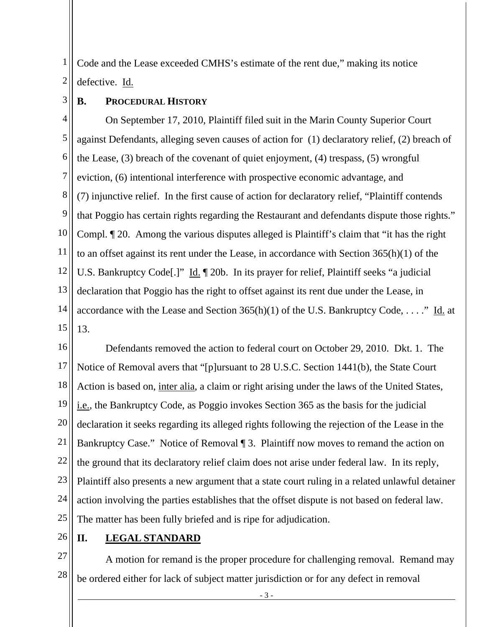1 2 Code and the Lease exceeded CMHS's estimate of the rent due," making its notice defective. Id.

3 **B. PROCEDURAL HISTORY**

4 5 6 7 8 9 10 11 12 13 14 15 On September 17, 2010, Plaintiff filed suit in the Marin County Superior Court against Defendants, alleging seven causes of action for (1) declaratory relief, (2) breach of the Lease, (3) breach of the covenant of quiet enjoyment, (4) trespass, (5) wrongful eviction, (6) intentional interference with prospective economic advantage, and (7) injunctive relief. In the first cause of action for declaratory relief, "Plaintiff contends that Poggio has certain rights regarding the Restaurant and defendants dispute those rights." Compl. ¶ 20. Among the various disputes alleged is Plaintiff's claim that "it has the right to an offset against its rent under the Lease, in accordance with Section 365(h)(1) of the U.S. Bankruptcy Code[.]" Id. ¶ 20b. In its prayer for relief, Plaintiff seeks "a judicial declaration that Poggio has the right to offset against its rent due under the Lease, in accordance with the Lease and Section  $365(h)(1)$  of the U.S. Bankruptcy Code, ...." Id. at 13.

16 17 18 19 20 21 22 23 24 25 Defendants removed the action to federal court on October 29, 2010. Dkt. 1. The Notice of Removal avers that "[p]ursuant to 28 U.S.C. Section 1441(b), the State Court Action is based on, inter alia, a claim or right arising under the laws of the United States, i.e., the Bankruptcy Code, as Poggio invokes Section 365 as the basis for the judicial declaration it seeks regarding its alleged rights following the rejection of the Lease in the Bankruptcy Case." Notice of Removal ¶ 3. Plaintiff now moves to remand the action on the ground that its declaratory relief claim does not arise under federal law. In its reply, Plaintiff also presents a new argument that a state court ruling in a related unlawful detainer action involving the parties establishes that the offset dispute is not based on federal law. The matter has been fully briefed and is ripe for adjudication.

26 **II. LEGAL STANDARD**

27 28 A motion for remand is the proper procedure for challenging removal. Remand may be ordered either for lack of subject matter jurisdiction or for any defect in removal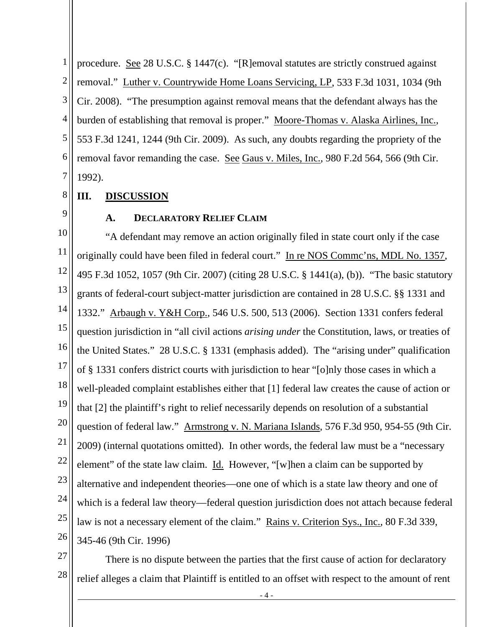1 2 3 4 5 6 7 procedure. See 28 U.S.C. § 1447(c). "[R]emoval statutes are strictly construed against removal." Luther v. Countrywide Home Loans Servicing, LP, 533 F.3d 1031, 1034 (9th Cir. 2008). "The presumption against removal means that the defendant always has the burden of establishing that removal is proper." Moore-Thomas v. Alaska Airlines, Inc., 553 F.3d 1241, 1244 (9th Cir. 2009). As such, any doubts regarding the propriety of the removal favor remanding the case. See Gaus v. Miles, Inc., 980 F.2d 564, 566 (9th Cir. 1992).

- 8 **III. DISCUSSION**
- 9

## **A. DECLARATORY RELIEF CLAIM**

10 11 12 13 14 15 16 17 18 19 20 21 22 23 24 25 26 "A defendant may remove an action originally filed in state court only if the case originally could have been filed in federal court." In re NOS Commc'ns, MDL No. 1357, 495 F.3d 1052, 1057 (9th Cir. 2007) (citing 28 U.S.C. § 1441(a), (b)). "The basic statutory grants of federal-court subject-matter jurisdiction are contained in 28 U.S.C. §§ 1331 and 1332." Arbaugh v. Y&H Corp., 546 U.S. 500, 513 (2006). Section 1331 confers federal question jurisdiction in "all civil actions *arising under* the Constitution, laws, or treaties of the United States." 28 U.S.C. § 1331 (emphasis added). The "arising under" qualification of § 1331 confers district courts with jurisdiction to hear "[o]nly those cases in which a well-pleaded complaint establishes either that [1] federal law creates the cause of action or that [2] the plaintiff's right to relief necessarily depends on resolution of a substantial question of federal law." Armstrong v. N. Mariana Islands, 576 F.3d 950, 954-55 (9th Cir. 2009) (internal quotations omitted). In other words, the federal law must be a "necessary element" of the state law claim. Id. However, "[w]hen a claim can be supported by alternative and independent theories—one one of which is a state law theory and one of which is a federal law theory—federal question jurisdiction does not attach because federal law is not a necessary element of the claim." Rains v. Criterion Sys., Inc., 80 F.3d 339, 345-46 (9th Cir. 1996)

27

28 There is no dispute between the parties that the first cause of action for declaratory relief alleges a claim that Plaintiff is entitled to an offset with respect to the amount of rent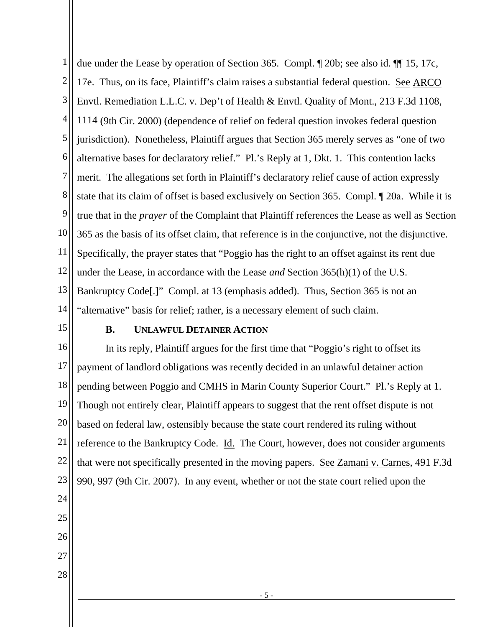1 2 3 4 5 6 7 8 9 10 11 12 13 14 due under the Lease by operation of Section 365. Compl. ¶ 20b; see also id. ¶¶ 15, 17c, 17e. Thus, on its face, Plaintiff's claim raises a substantial federal question. See ARCO Envtl. Remediation L.L.C. v. Dep't of Health & Envtl. Quality of Mont., 213 F.3d 1108, 1114 (9th Cir. 2000) (dependence of relief on federal question invokes federal question jurisdiction). Nonetheless, Plaintiff argues that Section 365 merely serves as "one of two alternative bases for declaratory relief." Pl.'s Reply at 1, Dkt. 1. This contention lacks merit. The allegations set forth in Plaintiff's declaratory relief cause of action expressly state that its claim of offset is based exclusively on Section 365. Compl. ¶ 20a. While it is true that in the *prayer* of the Complaint that Plaintiff references the Lease as well as Section 365 as the basis of its offset claim, that reference is in the conjunctive, not the disjunctive. Specifically, the prayer states that "Poggio has the right to an offset against its rent due under the Lease, in accordance with the Lease *and* Section 365(h)(1) of the U.S. Bankruptcy Code[.]" Compl. at 13 (emphasis added). Thus, Section 365 is not an "alternative" basis for relief; rather, is a necessary element of such claim.

15

## **B. UNLAWFUL DETAINER ACTION**

16 17 18 19 20 21 22 23 24 25 In its reply, Plaintiff argues for the first time that "Poggio's right to offset its payment of landlord obligations was recently decided in an unlawful detainer action pending between Poggio and CMHS in Marin County Superior Court." Pl.'s Reply at 1. Though not entirely clear, Plaintiff appears to suggest that the rent offset dispute is not based on federal law, ostensibly because the state court rendered its ruling without reference to the Bankruptcy Code. Id. The Court, however, does not consider arguments that were not specifically presented in the moving papers. See Zamani v. Carnes, 491 F.3d 990, 997 (9th Cir. 2007). In any event, whether or not the state court relied upon the

- 26
- 27
- 28